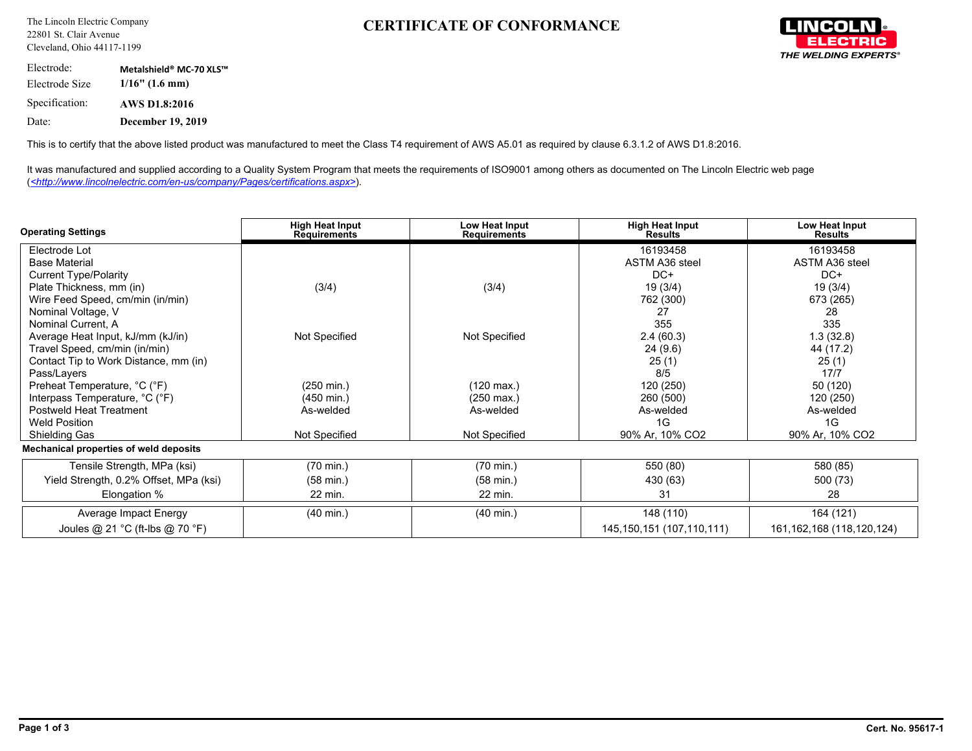## **CERTIFICATE OF CONFORMANCE**



Electrode: **Metalshield® MC-70 XLS™** Electrode Size **1/16" (1.6 mm)** Specification: **AWS D1.8:2016** Date: **December 19, 2019**

This is to certify that the above listed product was manufactured to meet the Class T4 requirement of AWS A5.01 as required by clause 6.3.1.2 of AWS D1.8:2016.

It was manufactured and supplied according to a Quality System Program that meets the requirements of ISO9001 among others as documented on The Lincoln Electric web page (*<http://www.lincolnelectric.com/en-us/company/Pages/certifications.aspx>*).

| <b>Operating Settings</b>              | <b>High Heat Input</b><br><b>Requirements</b> | Low Heat Input<br><b>Requirements</b> | <b>High Heat Input</b><br><b>Results</b> | Low Heat Input<br><b>Results</b> |  |
|----------------------------------------|-----------------------------------------------|---------------------------------------|------------------------------------------|----------------------------------|--|
| Electrode Lot                          |                                               |                                       | 16193458                                 | 16193458                         |  |
| <b>Base Material</b>                   |                                               |                                       | ASTM A36 steel                           | ASTM A36 steel                   |  |
| <b>Current Type/Polarity</b>           |                                               |                                       | DC+                                      | $DC+$                            |  |
| Plate Thickness, mm (in)               | (3/4)                                         | (3/4)                                 | 19(3/4)                                  | 19(3/4)                          |  |
| Wire Feed Speed, cm/min (in/min)       |                                               |                                       | 762 (300)                                | 673 (265)                        |  |
| Nominal Voltage, V                     |                                               |                                       | 27                                       | 28                               |  |
| Nominal Current, A                     |                                               |                                       | 355                                      | 335                              |  |
| Average Heat Input, kJ/mm (kJ/in)      | Not Specified                                 | Not Specified                         | 2.4(60.3)                                | 1.3(32.8)                        |  |
| Travel Speed, cm/min (in/min)          |                                               |                                       | 24(9.6)                                  | 44 (17.2)                        |  |
| Contact Tip to Work Distance, mm (in)  |                                               |                                       | 25(1)                                    | 25(1)                            |  |
| Pass/Layers                            |                                               |                                       | 8/5                                      | 17/7                             |  |
| Preheat Temperature, °C (°F)           | $(250 \text{ min.})$                          | (120 max.)                            | 120 (250)                                | 50 (120)                         |  |
| Interpass Temperature, °C (°F)         | (450 min.)                                    | $(250 \text{ max.})$                  | 260 (500)                                | 120 (250)                        |  |
| Postweld Heat Treatment                | As-welded                                     | As-welded                             | As-welded                                | As-welded                        |  |
| <b>Weld Position</b>                   |                                               |                                       | 1G                                       | 1G                               |  |
| <b>Shielding Gas</b>                   | Not Specified                                 | <b>Not Specified</b>                  | 90% Ar, 10% CO2                          | 90% Ar, 10% CO2                  |  |
| Mechanical properties of weld deposits |                                               |                                       |                                          |                                  |  |
| Tensile Strength, MPa (ksi)            | $(70 \text{ min.})$                           | $(70 \text{ min.})$                   | 550 (80)                                 | 580 (85)                         |  |
| Yield Strength, 0.2% Offset, MPa (ksi) | $(58 \text{ min.})$                           | $(58 \text{ min.})$                   | 430 (63)                                 | 500 (73)                         |  |
| Elongation %                           | 22 min.                                       | 22 min.                               | 31                                       | 28                               |  |
| Average Impact Energy                  | $(40 \text{ min.})$                           | $(40 \text{ min.})$                   | 148 (110)                                | 164 (121)                        |  |
| Joules @ 21 °C (ft-lbs @ 70 °F)        |                                               |                                       | 145, 150, 151 (107, 110, 111)            | 161, 162, 168 (118, 120, 124)    |  |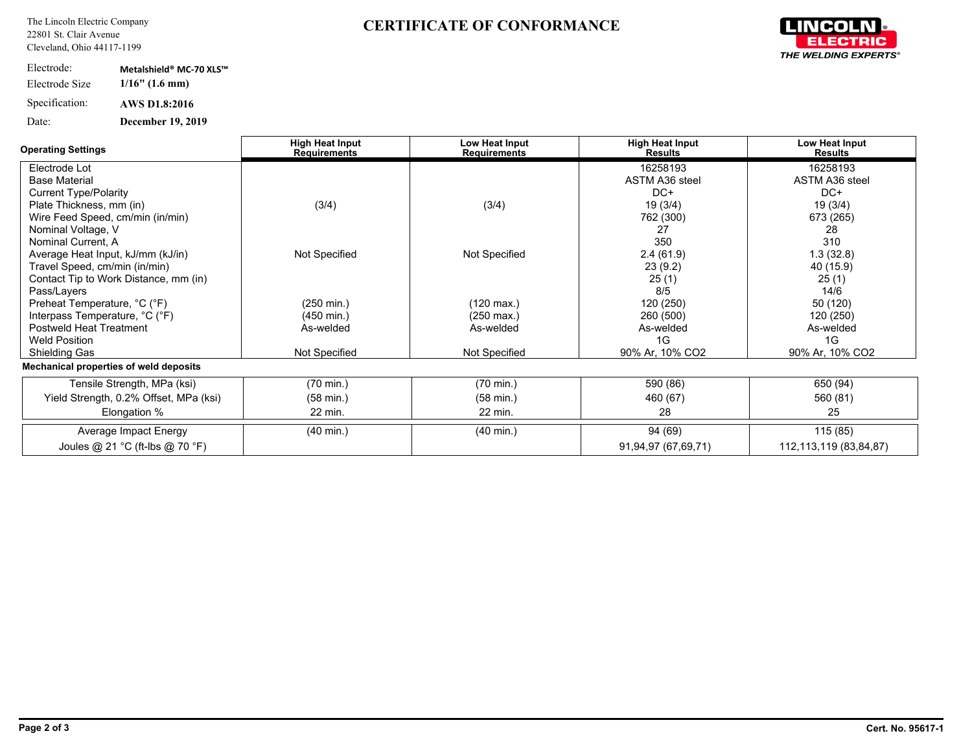## **CERTIFICATE OF CONFORMANCE**



| Electrode:     | Metalshield® MC-70 XLS™     |
|----------------|-----------------------------|
| Electrode Size | $1/16$ " $(1.6 \text{ mm})$ |
| Specification: | <b>AWS D1.8:2016</b>        |
| Date:          | <b>December 19, 2019</b>    |

| <b>Operating Settings</b>              | <b>High Heat Input</b><br><b>Requirements</b> | Low Heat Input<br><b>Requirements</b> | <b>High Heat Input</b><br><b>Results</b> | Low Heat Input<br><b>Results</b> |
|----------------------------------------|-----------------------------------------------|---------------------------------------|------------------------------------------|----------------------------------|
| Electrode Lot                          |                                               |                                       | 16258193                                 | 16258193                         |
| <b>Base Material</b>                   |                                               |                                       | <b>ASTM A36 steel</b>                    | <b>ASTM A36 steel</b>            |
| <b>Current Type/Polarity</b>           |                                               |                                       | $DC+$                                    | $DC+$                            |
| Plate Thickness, mm (in)               | (3/4)                                         | (3/4)                                 | 19 (3/4)                                 | 19 (3/4)                         |
| Wire Feed Speed, cm/min (in/min)       |                                               |                                       | 762 (300)                                | 673 (265)                        |
| Nominal Voltage, V                     |                                               |                                       | 27                                       | 28                               |
| Nominal Current, A                     |                                               |                                       | 350                                      | 310                              |
| Average Heat Input, kJ/mm (kJ/in)      | Not Specified                                 | Not Specified                         | 2.4(61.9)                                | 1.3(32.8)                        |
| Travel Speed, cm/min (in/min)          |                                               |                                       | 23(9.2)                                  | 40 (15.9)                        |
| Contact Tip to Work Distance, mm (in)  |                                               |                                       | 25(1)                                    | 25(1)                            |
| Pass/Layers                            |                                               |                                       | 8/5                                      | 14/6                             |
| Preheat Temperature, °C (°F)           | $(250 \text{ min.})$                          | $(120 \text{ max.})$                  | 120 (250)                                | 50 (120)                         |
| Interpass Temperature, °C (°F)         | $(450 \text{ min.})$                          | $(250 \text{ max.})$                  | 260 (500)                                | 120 (250)                        |
| <b>Postweld Heat Treatment</b>         | As-welded                                     | As-welded                             | As-welded                                | As-welded                        |
| <b>Weld Position</b>                   |                                               |                                       | 1G                                       | 1G                               |
| <b>Shielding Gas</b>                   | Not Specified                                 | Not Specified                         | 90% Ar, 10% CO2                          | 90% Ar, 10% CO2                  |
| Mechanical properties of weld deposits |                                               |                                       |                                          |                                  |
| Tensile Strength, MPa (ksi)            | $(70 \text{ min.})$                           | $(70 \text{ min.})$                   | 590 (86)                                 | 650 (94)                         |
| Yield Strength, 0.2% Offset, MPa (ksi) | $(58 \text{ min.})$                           | $(58 \text{ min.})$                   | 460 (67)                                 | 560 (81)                         |
| Elongation %                           | 22 min.                                       | 22 min.                               | 28                                       | 25                               |
| Average Impact Energy                  | $(40 \text{ min.})$                           | $(40 \text{ min.})$                   | 94 (69)                                  | 115 (85)                         |
| Joules @ 21 °C (ft-lbs @ 70 °F)        |                                               |                                       | 91,94,97 (67,69,71)                      | 112,113,119 (83,84,87)           |